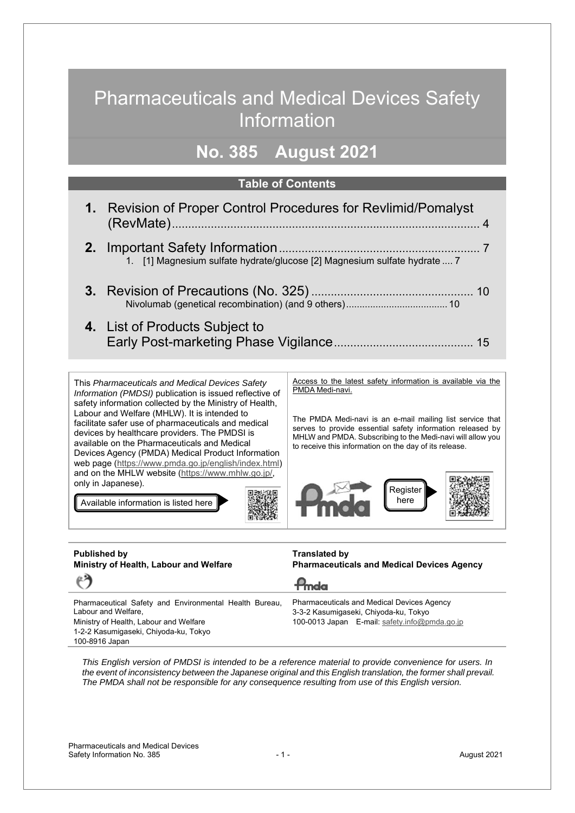# Pharmaceuticals and Medical Devices Safety Information

## **No. 385 August 2021**

### **Table of Contents**

| 1. Revision of Proper Control Procedures for Revlimid/Pomalyst            |
|---------------------------------------------------------------------------|
| 1. [1] Magnesium sulfate hydrate/glucose [2] Magnesium sulfate hydrate  7 |
|                                                                           |
| 4. List of Products Subject to                                            |

This *Pharmaceuticals and Medical Devices Safety Information (PMDSI)* publication is issued reflective of safety information collected by the Ministry of Health, Labour and Welfare (MHLW). It is intended to facilitate safer use of pharmaceuticals and medical devices by healthcare providers. The PMDSI is available on the Pharmaceuticals and Medical Devices Agency (PMDA) Medical Product Information web page (https://www.pmda.go.jp/english/index.html) and on the MHLW website (https://www.mhlw.go.jp/, only in Japanese).

Available information is listed here

Access to the latest safety information is available via the PMDA Medi-navi.

The PMDA Medi-navi is an e-mail mailing list service that serves to provide essential safety information released by MHLW and PMDA. Subscribing to the Medi-navi will allow you to receive this information on the day of its release.



#### **Published by Ministry of Health, Labour and Welfare**

**Translated by Pharmaceuticals and Medical Devices Agency**

**P**mda Pharmaceutical Safety and Environmental Health Bureau, Labour and Welfare, Ministry of Health, Labour and Welfare

1-2-2 Kasumigaseki, Chiyoda-ku, Tokyo 100-8916 Japan

(\*\*

Pharmaceuticals and Medical Devices Agency 3-3-2 Kasumigaseki, Chiyoda-ku, Tokyo 100-0013 Japan E-mail: safety.info@pmda.go.jp

*This English version of PMDSI is intended to be a reference material to provide convenience for users. In the event of inconsistency between the Japanese original and this English translation, the former shall prevail. The PMDA shall not be responsible for any consequence resulting from use of this English version.*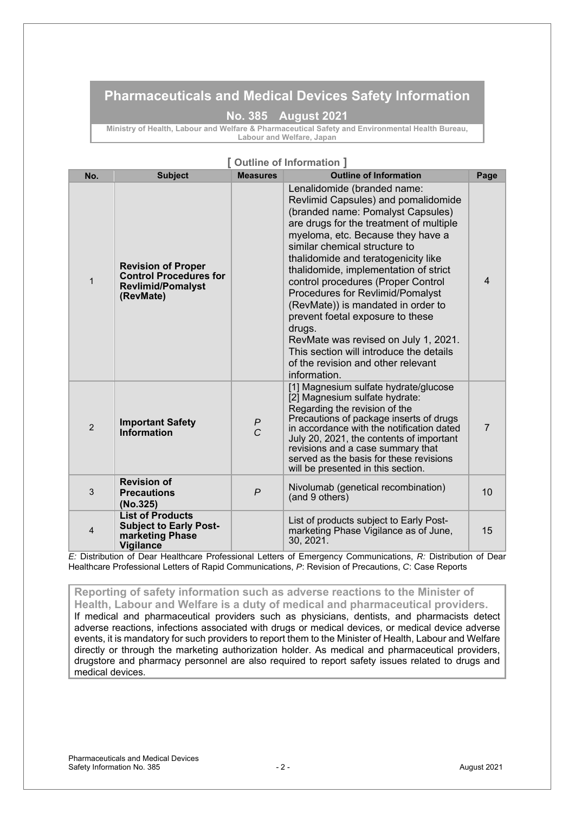### **Pharmaceuticals and Medical Devices Safety Information**

#### **No. 385 August 2021**

**Ministry of Health, Labour and Welfare & Pharmaceutical Safety and Environmental Health Bureau, Labour and Welfare, Japan**

|                |                                                                                                     |                     | <b>Outline of Information</b>                                                                                                                                                                                                                                                                                                                                                                                                                                                                                                                                                                                   |                |
|----------------|-----------------------------------------------------------------------------------------------------|---------------------|-----------------------------------------------------------------------------------------------------------------------------------------------------------------------------------------------------------------------------------------------------------------------------------------------------------------------------------------------------------------------------------------------------------------------------------------------------------------------------------------------------------------------------------------------------------------------------------------------------------------|----------------|
| No.            | <b>Subject</b>                                                                                      | <b>Measures</b>     | <b>Outline of Information</b>                                                                                                                                                                                                                                                                                                                                                                                                                                                                                                                                                                                   | Page           |
| $\mathbf{1}$   | <b>Revision of Proper</b><br><b>Control Procedures for</b><br><b>Revlimid/Pomalyst</b><br>(RevMate) |                     | Lenalidomide (branded name:<br>Revlimid Capsules) and pomalidomide<br>(branded name: Pomalyst Capsules)<br>are drugs for the treatment of multiple<br>myeloma, etc. Because they have a<br>similar chemical structure to<br>thalidomide and teratogenicity like<br>thalidomide, implementation of strict<br>control procedures (Proper Control<br>Procedures for Revlimid/Pomalyst<br>(RevMate)) is mandated in order to<br>prevent foetal exposure to these<br>drugs.<br>RevMate was revised on July 1, 2021.<br>This section will introduce the details<br>of the revision and other relevant<br>information. | $\overline{4}$ |
| $\overline{2}$ | <b>Important Safety</b><br>Information                                                              | P<br>$\overline{C}$ | [1] Magnesium sulfate hydrate/glucose<br>[2] Magnesium sulfate hydrate:<br>Regarding the revision of the<br>Precautions of package inserts of drugs<br>in accordance with the notification dated<br>July 20, 2021, the contents of important<br>revisions and a case summary that<br>served as the basis for these revisions<br>will be presented in this section.                                                                                                                                                                                                                                              | $\overline{7}$ |
| 3              | <b>Revision of</b><br><b>Precautions</b><br>(No.325)                                                | $\overline{P}$      | Nivolumab (genetical recombination)<br>(and 9 others)                                                                                                                                                                                                                                                                                                                                                                                                                                                                                                                                                           | 10             |
| $\overline{4}$ | <b>List of Products</b><br><b>Subject to Early Post-</b><br>marketing Phase<br><b>Vigilance</b>     |                     | List of products subject to Early Post-<br>marketing Phase Vigilance as of June,<br>30, 2021.                                                                                                                                                                                                                                                                                                                                                                                                                                                                                                                   | 15             |

### **[ Outline of Information ]**

*E:* Distribution of Dear Healthcare Professional Letters of Emergency Communications, *R:* Distribution of Dear Healthcare Professional Letters of Rapid Communications, *P*: Revision of Precautions, *C*: Case Reports

### **Reporting of safety information such as adverse reactions to the Minister of**

**Health, Labour and Welfare is a duty of medical and pharmaceutical providers.** If medical and pharmaceutical providers such as physicians, dentists, and pharmacists detect adverse reactions, infections associated with drugs or medical devices, or medical device adverse events, it is mandatory for such providers to report them to the Minister of Health, Labour and Welfare directly or through the marketing authorization holder. As medical and pharmaceutical providers, drugstore and pharmacy personnel are also required to report safety issues related to drugs and medical devices.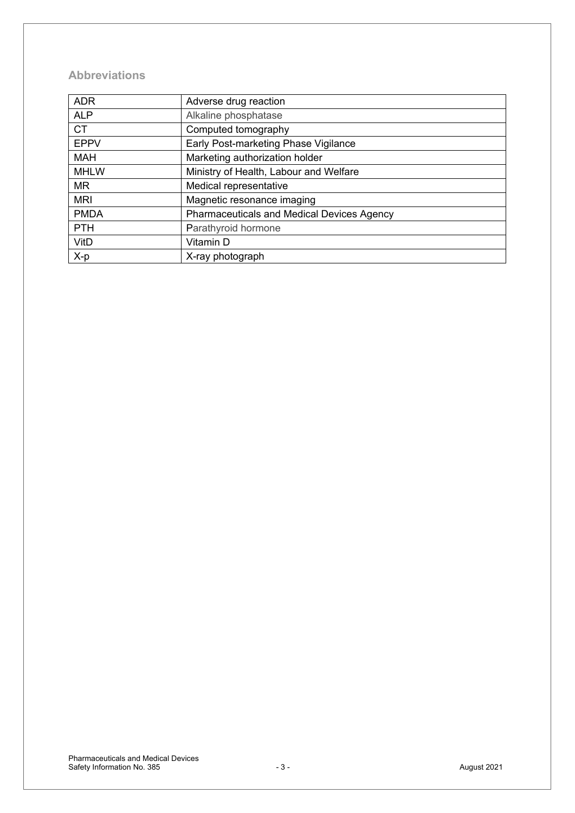### **Abbreviations**

| <b>ADR</b>  | Adverse drug reaction                             |
|-------------|---------------------------------------------------|
| <b>ALP</b>  | Alkaline phosphatase                              |
| <b>CT</b>   | Computed tomography                               |
| <b>EPPV</b> | Early Post-marketing Phase Vigilance              |
| <b>MAH</b>  | Marketing authorization holder                    |
| <b>MHLW</b> | Ministry of Health, Labour and Welfare            |
| <b>MR</b>   | Medical representative                            |
| <b>MRI</b>  | Magnetic resonance imaging                        |
| <b>PMDA</b> | <b>Pharmaceuticals and Medical Devices Agency</b> |
| <b>PTH</b>  | Parathyroid hormone                               |
| VitD        | Vitamin D                                         |
| X-p         | X-ray photograph                                  |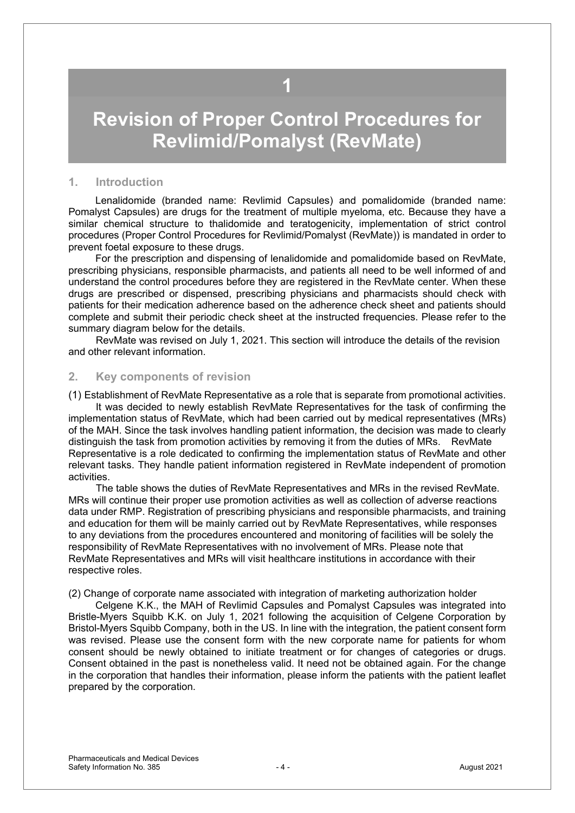## **1**

# <span id="page-3-0"></span>**Revision of Proper Control Procedures for Revlimid/Pomalyst (RevMate)**

#### **1. Introduction**

Lenalidomide (branded name: Revlimid Capsules) and pomalidomide (branded name: Pomalyst Capsules) are drugs for the treatment of multiple myeloma, etc. Because they have a similar chemical structure to thalidomide and teratogenicity, implementation of strict control procedures (Proper Control Procedures for Revlimid/Pomalyst (RevMate)) is mandated in order to prevent foetal exposure to these drugs.

For the prescription and dispensing of lenalidomide and pomalidomide based on RevMate, prescribing physicians, responsible pharmacists, and patients all need to be well informed of and understand the control procedures before they are registered in the RevMate center. When these drugs are prescribed or dispensed, prescribing physicians and pharmacists should check with patients for their medication adherence based on the adherence check sheet and patients should complete and submit their periodic check sheet at the instructed frequencies. Please refer to the summary diagram below for the details.

RevMate was revised on July 1, 2021. This section will introduce the details of the revision and other relevant information.

### **2. Key components of revision**

(1) Establishment of RevMate Representative as a role that is separate from promotional activities. It was decided to newly establish RevMate Representatives for the task of confirming the implementation status of RevMate, which had been carried out by medical representatives (MRs) of the MAH. Since the task involves handling patient information, the decision was made to clearly distinguish the task from promotion activities by removing it from the duties of MRs. RevMate Representative is a role dedicated to confirming the implementation status of RevMate and other relevant tasks. They handle patient information registered in RevMate independent of promotion activities.

The table shows the duties of RevMate Representatives and MRs in the revised RevMate. MRs will continue their proper use promotion activities as well as collection of adverse reactions data under RMP. Registration of prescribing physicians and responsible pharmacists, and training and education for them will be mainly carried out by RevMate Representatives, while responses to any deviations from the procedures encountered and monitoring of facilities will be solely the responsibility of RevMate Representatives with no involvement of MRs. Please note that RevMate Representatives and MRs will visit healthcare institutions in accordance with their respective roles.

(2) Change of corporate name associated with integration of marketing authorization holder

Celgene K.K., the MAH of Revlimid Capsules and Pomalyst Capsules was integrated into Bristle-Myers Squibb K.K. on July 1, 2021 following the acquisition of Celgene Corporation by Bristol-Myers Squibb Company, both in the US. In line with the integration, the patient consent form was revised. Please use the consent form with the new corporate name for patients for whom consent should be newly obtained to initiate treatment or for changes of categories or drugs. Consent obtained in the past is nonetheless valid. It need not be obtained again. For the change in the corporation that handles their information, please inform the patients with the patient leaflet prepared by the corporation.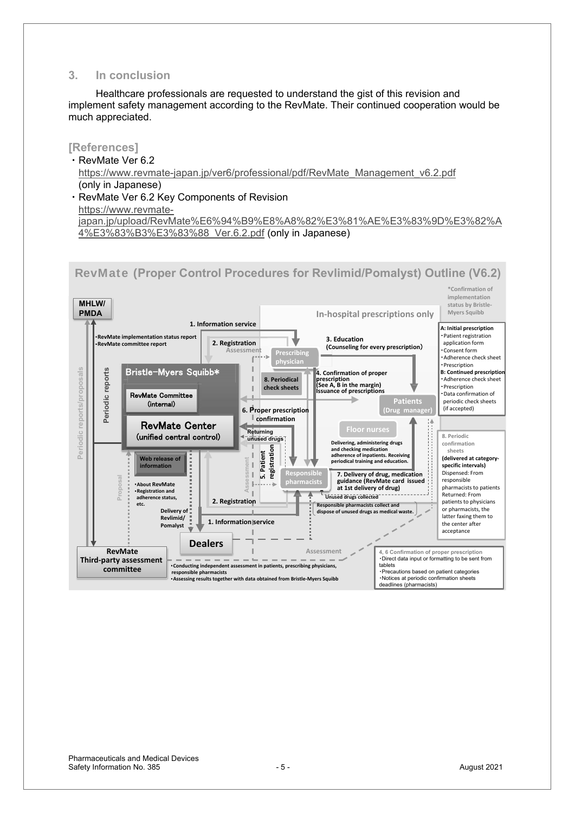### **3. In conclusion**

Healthcare professionals are requested to understand the gist of this revision and implement safety management according to the RevMate. Their continued cooperation would be much appreciated.

### **[References]**

- · RevMate Ver 6.2 https://www.revmate-japan.jp/ver6/professional/pdf/RevMate\_Management\_v6.2.pdf (only in Japanese) • RevMate Ver 6.2 Key Components of Revision
- https://www.revmate[japan.jp/upload/RevMate%E6%94%B9%E8%A8%82%E3%81%AE%E3%83%9D%E3%82%A](https://www.revmate-japan.jp/upload/RevMate%E6%94%B9%E8%A8%82%E3%81%AE%E3%83%9D%E3%82%A4%E3%83%B3%E3%83%88_Ver.6.2.pdf) 4%E3%83%B3%E3%83%88\_Ver.6.2.pdf (only in Japanese)

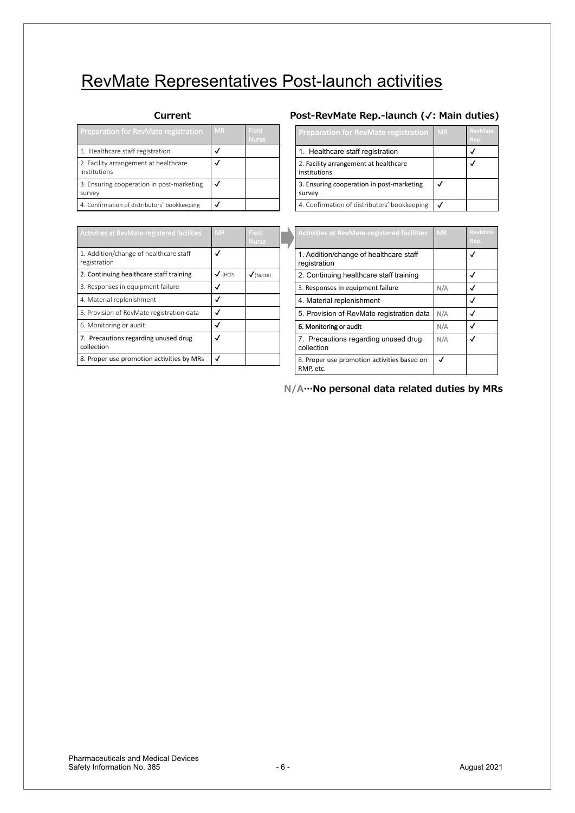# RevMate Representatives Post-launch activities

| <b>Preparation for RevMate registration</b>           | <b>MR</b> | Field<br>Nurse |
|-------------------------------------------------------|-----------|----------------|
| 1. Healthcare staff registration                      |           |                |
| 2. Facility arrangement at healthcare<br>institutions |           |                |
| 3. Ensuring cooperation in post-marketing<br>survey   |           |                |
| 4. Confirmation of distributors' bookkeeping          |           |                |

| Activities at RevMate-registered facilities            | <b>MR</b>      | Field<br><b>Nurse</b> |
|--------------------------------------------------------|----------------|-----------------------|
| 1. Addition/change of healthcare staff<br>registration |                |                       |
| 2. Continuing healthcare staff training                | $\sqrt{(HCP)}$ | $\sqrt{}$ (Nurse)     |
| 3. Responses in equipment failure                      |                |                       |
| 4. Material replenishment                              |                |                       |
| 5. Provision of RevMate registration data              |                |                       |
| 6. Monitoring or audit                                 |                |                       |
| 7. Precautions regarding unused drug<br>collection     |                |                       |
| 8. Proper use promotion activities by MRs              |                |                       |

#### Current **2000 2000 2000 2008 2008 2008 2008 2008 2008 2008 2008 2009 2008 2009 2009 2009 2009 2009 2009 2009 2009 2009 2009 2009 2009 2009 2009 2009 2009 2009 20**

| <b>Preparation for RevMate registration</b>           | <b>MR</b> | <b>RevMate</b><br>Rep. |
|-------------------------------------------------------|-----------|------------------------|
| 1. Healthcare staff registration                      |           |                        |
| 2. Facility arrangement at healthcare<br>institutions |           |                        |
| 3. Ensuring cooperation in post-marketing<br>survey   |           |                        |
| 4. Confirmation of distributors' bookkeeping          |           |                        |

| <b>Activities at RevMate-registered facilities</b>       | <b>MR</b> | <b>RevMate</b><br>Rep. |
|----------------------------------------------------------|-----------|------------------------|
| 1. Addition/change of healthcare staff<br>registration   |           |                        |
| 2. Continuing healthcare staff training                  |           |                        |
| 3. Responses in equipment failure                        | N/A       |                        |
| 4. Material replenishment                                |           |                        |
| 5. Provision of RevMate registration data                | N/A       |                        |
| 6. Monitoring or audit                                   | N/A       |                        |
| 7. Precautions regarding unused drug<br>collection       | N/A       |                        |
| 8. Proper use promotion activities based on<br>RMP, etc. | √         |                        |

 $N/A$  ··· No personal data related duties by MRs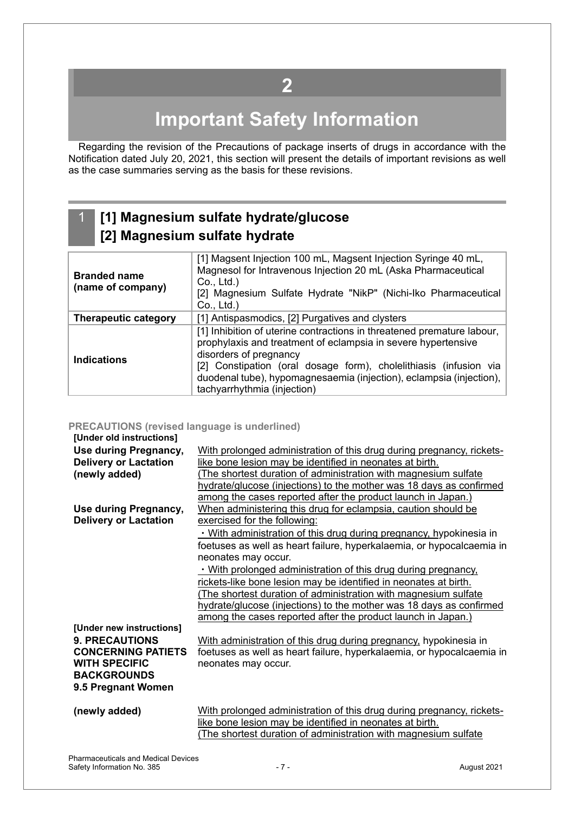## **2**

# **Important Safety Information**

<span id="page-6-0"></span>Regarding the revision of the Precautions of package inserts of drugs in accordance with the Notification dated July 20, 2021, this section will present the details of important revisions as well as the case summaries serving as the basis for these revisions.

### 1 **[1] Magnesium sulfate hydrate/glucose [2] Magnesium sulfate hydrate**

| <b>Branded name</b><br>(name of company) | [1] Magsent Injection 100 mL, Magsent Injection Syringe 40 mL,<br>Magnesol for Intravenous Injection 20 mL (Aska Pharmaceutical<br>Co., Ltd.)<br>[2] Magnesium Sulfate Hydrate "NikP" (Nichi-Iko Pharmaceutical<br>Co., Ltd.)                                                                                                                |
|------------------------------------------|----------------------------------------------------------------------------------------------------------------------------------------------------------------------------------------------------------------------------------------------------------------------------------------------------------------------------------------------|
| <b>Therapeutic category</b>              | [1] Antispasmodics, [2] Purgatives and clysters                                                                                                                                                                                                                                                                                              |
| <b>Indications</b>                       | [1] Inhibition of uterine contractions in threatened premature labour,<br>prophylaxis and treatment of eclampsia in severe hypertensive<br>disorders of pregnancy<br>[2] Constipation (oral dosage form), cholelithiasis (infusion via<br>duodenal tube), hypomagnesaemia (injection), eclampsia (injection),<br>tachyarrhythmia (injection) |

#### **PRECAUTIONS (revised language is underlined)**

| [Under old instructions]     |                                                                       |
|------------------------------|-----------------------------------------------------------------------|
| Use during Pregnancy,        | With prolonged administration of this drug during pregnancy, rickets- |
| <b>Delivery or Lactation</b> | like bone lesion may be identified in neonates at birth.              |
| (newly added)                | The shortest duration of administration with magnesium sulfate        |
|                              | hydrate/glucose (injections) to the mother was 18 days as confirmed   |
|                              | among the cases reported after the product launch in Japan.)          |
| Use during Pregnancy,        | When administering this drug for eclampsia, caution should be         |
| <b>Delivery or Lactation</b> | exercised for the following:                                          |
|                              | . With administration of this drug during pregnancy, hypokinesia in   |
|                              | foetuses as well as heart failure, hyperkalaemia, or hypocalcaemia in |
|                              | neonates may occur.                                                   |
|                              | . With prolonged administration of this drug during pregnancy.        |
|                              | rickets-like bone lesion may be identified in neonates at birth.      |
|                              | (The shortest duration of administration with magnesium sulfate       |
|                              | hydrate/glucose (injections) to the mother was 18 days as confirmed   |
|                              | among the cases reported after the product launch in Japan.)          |
| [Under new instructions]     |                                                                       |
| <b>9. PRECAUTIONS</b>        | With administration of this drug during pregnancy, hypokinesia in     |
| <b>CONCERNING PATIETS</b>    | foetuses as well as heart failure, hyperkalaemia, or hypocalcaemia in |
| <b>WITH SPECIFIC</b>         | neonates may occur.                                                   |
| <b>BACKGROUNDS</b>           |                                                                       |
| 9.5 Pregnant Women           |                                                                       |
|                              |                                                                       |
| (newly added)                | With prolonged administration of this drug during pregnancy, rickets- |
|                              | like bone lesion may be identified in neonates at birth.              |
|                              | The shortest duration of administration with magnesium sulfate        |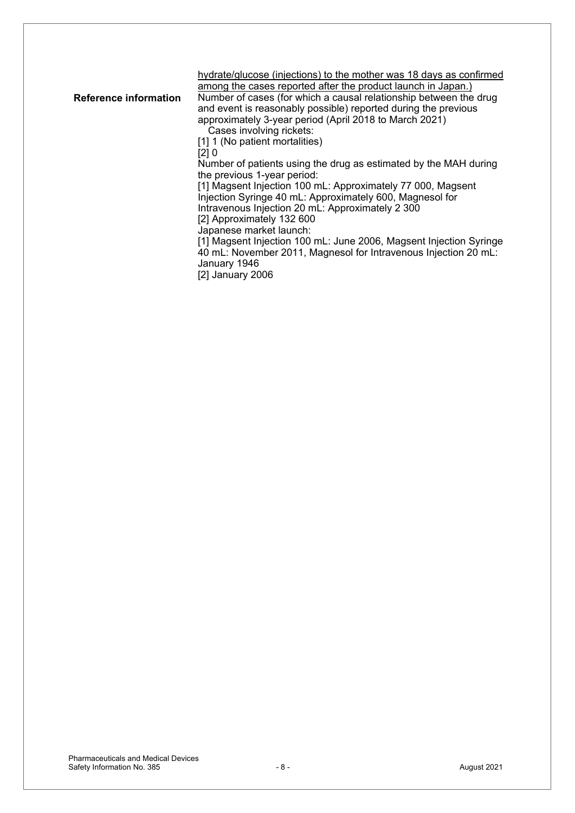hydrate/glucose (injections) to the mother was 18 days as confirmed among the cases reported after the product launch in Japan.)

**Reference information** Number of cases (for which a causal relationship between the drug and event is reasonably possible) reported during the previous approximately 3-year period (April 2018 to March 2021)

Cases involving rickets:

[1] 1 (No patient mortalities)

 $\overline{[2]}$  0

Number of patients using the drug as estimated by the MAH during the previous 1-year period:

[1] Magsent Injection 100 mL: Approximately 77 000, Magsent Injection Syringe 40 mL: Approximately 600, Magnesol for Intravenous Injection 20 mL: Approximately 2 300

[2] Approximately 132 600

Japanese market launch: [1] Magsent Injection 100 mL: June 2006, Magsent Injection Syringe 40 mL: November 2011, Magnesol for Intravenous Injection 20 mL: January 1946

[2] January 2006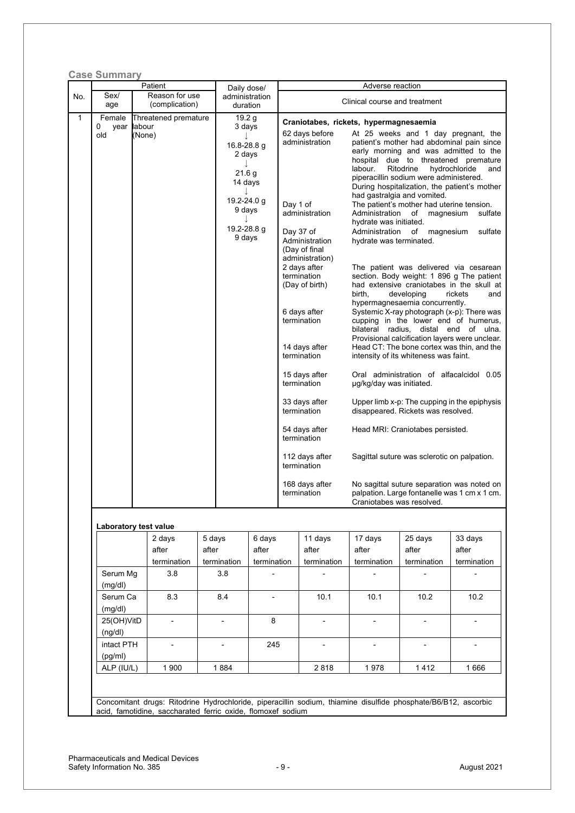|              | <b>Case Summary</b>     |                       | Patient              |                | Daily dose/                                                                                       |                                                                              |          |                                                                                                                                                                                                                                                                       | Adverse reaction                                                                                                                                    |                                                                                                                                                                                                                                                                                                                                                                                                                                                                                                                                                                                                                                                                                                                                                                                                                                                                              |                                                              |
|--------------|-------------------------|-----------------------|----------------------|----------------|---------------------------------------------------------------------------------------------------|------------------------------------------------------------------------------|----------|-----------------------------------------------------------------------------------------------------------------------------------------------------------------------------------------------------------------------------------------------------------------------|-----------------------------------------------------------------------------------------------------------------------------------------------------|------------------------------------------------------------------------------------------------------------------------------------------------------------------------------------------------------------------------------------------------------------------------------------------------------------------------------------------------------------------------------------------------------------------------------------------------------------------------------------------------------------------------------------------------------------------------------------------------------------------------------------------------------------------------------------------------------------------------------------------------------------------------------------------------------------------------------------------------------------------------------|--------------------------------------------------------------|
| No.          | Sex/<br>Reason for use  |                       |                      | administration |                                                                                                   |                                                                              |          | Clinical course and treatment                                                                                                                                                                                                                                         |                                                                                                                                                     |                                                                                                                                                                                                                                                                                                                                                                                                                                                                                                                                                                                                                                                                                                                                                                                                                                                                              |                                                              |
|              |                         | (complication)<br>age |                      | duration       |                                                                                                   |                                                                              |          |                                                                                                                                                                                                                                                                       |                                                                                                                                                     |                                                                                                                                                                                                                                                                                                                                                                                                                                                                                                                                                                                                                                                                                                                                                                                                                                                                              |                                                              |
| $\mathbf{1}$ | Female                  |                       | Threatened premature |                | 19.2 g<br>3 days                                                                                  |                                                                              |          |                                                                                                                                                                                                                                                                       | Craniotabes, rickets, hypermagnesaemia                                                                                                              |                                                                                                                                                                                                                                                                                                                                                                                                                                                                                                                                                                                                                                                                                                                                                                                                                                                                              |                                                              |
|              | 0<br>year labour<br>old | (None)                |                      |                | 16.8-28.8 g<br>2 days<br>21.6 g<br>14 days<br>J<br>19.2-24.0 g<br>9 days<br>19.2-28.8 g<br>9 days |                                                                              | Day 1 of | 62 days before<br>administration<br>administration<br>Day 37 of<br>Administration<br>(Day of final<br>administration)<br>2 days after<br>termination<br>(Day of birth)<br>6 days after<br>termination<br>14 days after<br>termination<br>15 days after<br>termination | labour.<br>had gastralgia and vomited.<br>hydrate was initiated.<br>Administration<br>hydrate was terminated.<br>birth,<br>µg/kg/day was initiated. | At 25 weeks and 1 day pregnant, the<br>patient's mother had abdominal pain since<br>early morning and was admitted to the<br>hospital due to threatened premature<br>Ritodrine<br>piperacillin sodium were administered.<br>During hospitalization, the patient's mother<br>The patient's mother had uterine tension.<br>Administration of magnesium<br>of magnesium<br>The patient was delivered via cesarean<br>section. Body weight: 1 896 g The patient<br>had extensive craniotabes in the skull at<br>developing<br>hypermagnesaemia concurrently.<br>Systemic X-ray photograph (x-p): There was<br>cupping in the lower end of humerus,<br>bilateral radius, distal end of ulna.<br>Provisional calcification layers were unclear.<br>Head CT: The bone cortex was thin, and the<br>intensity of its whiteness was faint.<br>Oral administration of alfacalcidol 0.05 | hydrochloride<br>and<br>sulfate<br>sulfate<br>rickets<br>and |
|              |                         |                       |                      |                |                                                                                                   |                                                                              |          | 33 days after<br>termination                                                                                                                                                                                                                                          |                                                                                                                                                     | Upper limb x-p: The cupping in the epiphysis<br>disappeared. Rickets was resolved.                                                                                                                                                                                                                                                                                                                                                                                                                                                                                                                                                                                                                                                                                                                                                                                           |                                                              |
|              |                         |                       |                      |                | 54 days after<br>termination                                                                      | Head MRI: Craniotabes persisted.                                             |          |                                                                                                                                                                                                                                                                       |                                                                                                                                                     |                                                                                                                                                                                                                                                                                                                                                                                                                                                                                                                                                                                                                                                                                                                                                                                                                                                                              |                                                              |
|              |                         |                       |                      |                |                                                                                                   | 112 days after<br>Sagittal suture was sclerotic on palpation.<br>termination |          |                                                                                                                                                                                                                                                                       |                                                                                                                                                     |                                                                                                                                                                                                                                                                                                                                                                                                                                                                                                                                                                                                                                                                                                                                                                                                                                                                              |                                                              |
|              |                         |                       |                      |                |                                                                                                   |                                                                              |          | 168 days after<br>termination                                                                                                                                                                                                                                         | No sagittal suture separation was noted on<br>palpation. Large fontanelle was 1 cm x 1 cm.<br>Craniotabes was resolved.                             |                                                                                                                                                                                                                                                                                                                                                                                                                                                                                                                                                                                                                                                                                                                                                                                                                                                                              |                                                              |
|              | Laboratory test value   |                       |                      |                |                                                                                                   |                                                                              |          |                                                                                                                                                                                                                                                                       |                                                                                                                                                     |                                                                                                                                                                                                                                                                                                                                                                                                                                                                                                                                                                                                                                                                                                                                                                                                                                                                              |                                                              |
|              |                         |                       | 2 days               | 5 days         |                                                                                                   | 6 days                                                                       |          | 11 days                                                                                                                                                                                                                                                               | 17 days                                                                                                                                             | 25 days                                                                                                                                                                                                                                                                                                                                                                                                                                                                                                                                                                                                                                                                                                                                                                                                                                                                      | 33 days                                                      |
|              |                         |                       | after                | after          |                                                                                                   | after                                                                        |          | after                                                                                                                                                                                                                                                                 | after                                                                                                                                               | after                                                                                                                                                                                                                                                                                                                                                                                                                                                                                                                                                                                                                                                                                                                                                                                                                                                                        | after                                                        |
|              |                         |                       | termination          |                | termination                                                                                       | termination                                                                  |          | termination                                                                                                                                                                                                                                                           | termination                                                                                                                                         | termination                                                                                                                                                                                                                                                                                                                                                                                                                                                                                                                                                                                                                                                                                                                                                                                                                                                                  | termination                                                  |
|              | Serum Mg<br>(mg/dl)     |                       | 3.8                  |                | 3.8                                                                                               |                                                                              |          |                                                                                                                                                                                                                                                                       |                                                                                                                                                     |                                                                                                                                                                                                                                                                                                                                                                                                                                                                                                                                                                                                                                                                                                                                                                                                                                                                              |                                                              |
|              | Serum Ca                |                       | 8.3                  | 8.4            |                                                                                                   |                                                                              |          | 10.1                                                                                                                                                                                                                                                                  | 10.1                                                                                                                                                | 10.2                                                                                                                                                                                                                                                                                                                                                                                                                                                                                                                                                                                                                                                                                                                                                                                                                                                                         | 10.2                                                         |
|              | (mg/dl)                 |                       |                      |                |                                                                                                   |                                                                              |          |                                                                                                                                                                                                                                                                       |                                                                                                                                                     |                                                                                                                                                                                                                                                                                                                                                                                                                                                                                                                                                                                                                                                                                                                                                                                                                                                                              |                                                              |
|              | 25(OH)VitD              |                       | $\blacksquare$       |                | $\overline{\phantom{a}}$                                                                          | 8                                                                            |          | -                                                                                                                                                                                                                                                                     | -                                                                                                                                                   |                                                                                                                                                                                                                                                                                                                                                                                                                                                                                                                                                                                                                                                                                                                                                                                                                                                                              | $\overline{\phantom{a}}$                                     |
|              | (ng/dl)                 |                       |                      |                |                                                                                                   |                                                                              |          |                                                                                                                                                                                                                                                                       |                                                                                                                                                     |                                                                                                                                                                                                                                                                                                                                                                                                                                                                                                                                                                                                                                                                                                                                                                                                                                                                              |                                                              |
|              | intact PTH              |                       |                      |                | $\overline{\phantom{a}}$                                                                          | 245                                                                          |          | $\overline{a}$                                                                                                                                                                                                                                                        |                                                                                                                                                     | $\overline{\phantom{a}}$                                                                                                                                                                                                                                                                                                                                                                                                                                                                                                                                                                                                                                                                                                                                                                                                                                                     |                                                              |
|              | (pg/ml)                 |                       |                      |                |                                                                                                   |                                                                              |          |                                                                                                                                                                                                                                                                       |                                                                                                                                                     |                                                                                                                                                                                                                                                                                                                                                                                                                                                                                                                                                                                                                                                                                                                                                                                                                                                                              |                                                              |
|              | ALP (IU/L)              |                       | 1 900                |                | 1884                                                                                              |                                                                              |          | 2818                                                                                                                                                                                                                                                                  | 1978                                                                                                                                                | 1412                                                                                                                                                                                                                                                                                                                                                                                                                                                                                                                                                                                                                                                                                                                                                                                                                                                                         | 1666                                                         |
|              |                         |                       |                      |                |                                                                                                   |                                                                              |          |                                                                                                                                                                                                                                                                       |                                                                                                                                                     |                                                                                                                                                                                                                                                                                                                                                                                                                                                                                                                                                                                                                                                                                                                                                                                                                                                                              |                                                              |
|              |                         |                       |                      |                |                                                                                                   |                                                                              |          |                                                                                                                                                                                                                                                                       | Concomitant drugs: Ritodrine Hydrochloride, piperacillin sodium, thiamine disulfide phosphate/B6/B12, ascorbic                                      |                                                                                                                                                                                                                                                                                                                                                                                                                                                                                                                                                                                                                                                                                                                                                                                                                                                                              |                                                              |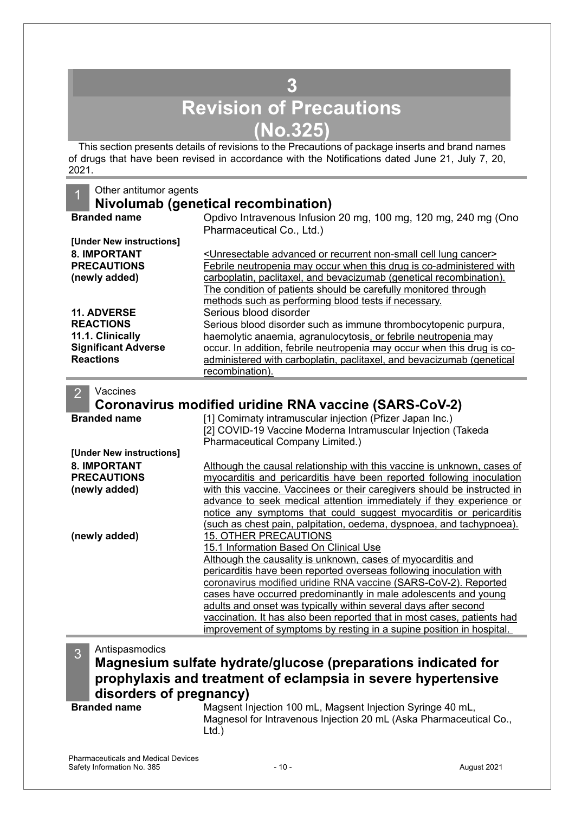## **3 Revision of Precautions (No.325)**

<span id="page-9-0"></span>This section presents details of revisions to the Precautions of package inserts and brand names of drugs that have been revised in accordance with the Notifications dated June 21, July 7, 20, 2021.

| Other antitumor agents                    |                                                                                                                                                   |
|-------------------------------------------|---------------------------------------------------------------------------------------------------------------------------------------------------|
|                                           | Nivolumab (genetical recombination)                                                                                                               |
| <b>Branded name</b>                       | Opdivo Intravenous Infusion 20 mg, 100 mg, 120 mg, 240 mg (Ono                                                                                    |
|                                           | Pharmaceutical Co., Ltd.)                                                                                                                         |
| [Under New instructions]                  |                                                                                                                                                   |
| <b>8. IMPORTANT</b>                       | <unresectable advanced="" cancer="" cell="" lung="" non-small="" or="" recurrent=""></unresectable>                                               |
| <b>PRECAUTIONS</b>                        | Febrile neutropenia may occur when this drug is co-administered with                                                                              |
| (newly added)                             | carboplatin, paclitaxel, and bevacizumab (genetical recombination).                                                                               |
|                                           | The condition of patients should be carefully monitored through                                                                                   |
|                                           | methods such as performing blood tests if necessary.                                                                                              |
| <b>11. ADVERSE</b>                        | Serious blood disorder                                                                                                                            |
| <b>REACTIONS</b>                          | Serious blood disorder such as immune thrombocytopenic purpura,                                                                                   |
| 11.1. Clinically                          | haemolytic anaemia, agranulocytosis, or febrile neutropenia may                                                                                   |
| <b>Significant Adverse</b>                | occur. In addition, febrile neutropenia may occur when this drug is co-                                                                           |
| <b>Reactions</b>                          | administered with carboplatin, paclitaxel, and bevacizumab (genetical                                                                             |
|                                           | recombination).                                                                                                                                   |
| Vaccines<br>$\overline{2}$                |                                                                                                                                                   |
|                                           |                                                                                                                                                   |
|                                           | Coronavirus modified uridine RNA vaccine (SARS-CoV-2)                                                                                             |
| <b>Branded name</b>                       | [1] Comirnaty intramuscular injection (Pfizer Japan Inc.)                                                                                         |
|                                           | [2] COVID-19 Vaccine Moderna Intramuscular Injection (Takeda                                                                                      |
| [Under New instructions]                  | Pharmaceutical Company Limited.)                                                                                                                  |
|                                           |                                                                                                                                                   |
| <b>8. IMPORTANT</b><br><b>PRECAUTIONS</b> | Although the causal relationship with this vaccine is unknown, cases of                                                                           |
|                                           | myocarditis and pericarditis have been reported following inoculation<br>with this vaccine. Vaccinees or their caregivers should be instructed in |
| (newly added)                             | advance to seek medical attention immediately if they experience or                                                                               |
|                                           | notice any symptoms that could suggest myocarditis or pericarditis                                                                                |
|                                           | (such as chest pain, palpitation, oedema, dyspnoea, and tachypnoea).                                                                              |
| (newly added)                             | 15. OTHER PRECAUTIONS                                                                                                                             |
|                                           | 15.1 Information Based On Clinical Use                                                                                                            |
|                                           | Although the causality is unknown, cases of myocarditis and                                                                                       |
|                                           | pericarditis have been reported overseas following inoculation with                                                                               |
|                                           | coronavirus modified uridine RNA vaccine (SARS-CoV-2). Reported                                                                                   |
|                                           | cases have occurred predominantly in male adolescents and young                                                                                   |
|                                           | adults and onset was typically within several days after second                                                                                   |
|                                           | vaccination. It has also been reported that in most cases, patients had                                                                           |
|                                           | improvement of symptoms by resting in a supine position in hospital.                                                                              |
|                                           |                                                                                                                                                   |
| Antispasmodics<br>3<br>.                  | المحالم المتلاحم المحمدات<br>.                                                                                                                    |

### **Magnesium sulfate hydrate/glucose (preparations indicated for prophylaxis and treatment of eclampsia in severe hypertensive disorders of pregnancy)**

**Branded name** Magsent Injection 100 mL, Magsent Injection Syringe 40 mL, Magnesol for Intravenous Injection 20 mL (Aska Pharmaceutical Co., Ltd.)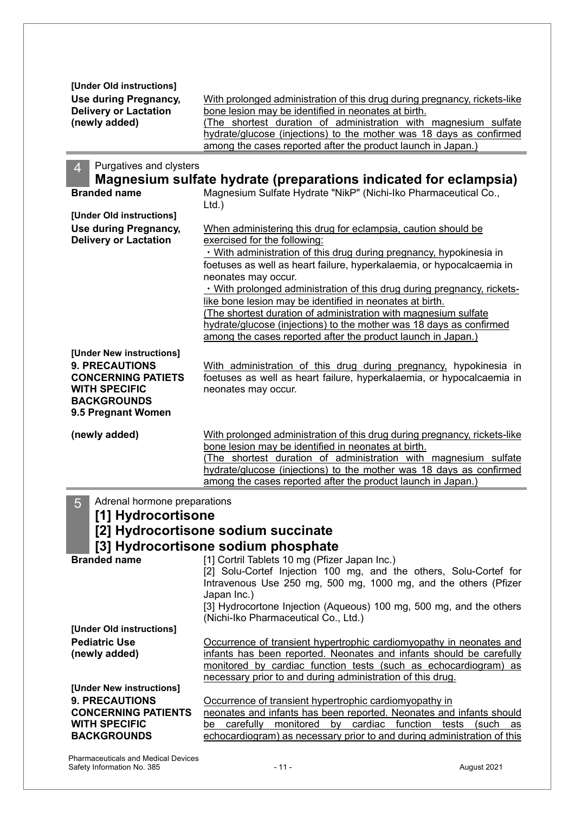| [Under Old instructions]<br>Use during Pregnancy,<br><b>Delivery or Lactation</b><br>(newly added)                                                 | With prolonged administration of this drug during pregnancy, rickets-like<br>bone lesion may be identified in neonates at birth.<br>(The shortest duration of administration with magnesium sulfate<br>hydrate/glucose (injections) to the mother was 18 days as confirmed<br>among the cases reported after the product launch in Japan.)                                                                                                    |
|----------------------------------------------------------------------------------------------------------------------------------------------------|-----------------------------------------------------------------------------------------------------------------------------------------------------------------------------------------------------------------------------------------------------------------------------------------------------------------------------------------------------------------------------------------------------------------------------------------------|
| Purgatives and clysters<br>$\overline{4}$<br><b>Branded name</b>                                                                                   | Magnesium sulfate hydrate (preparations indicated for eclampsia)<br>Magnesium Sulfate Hydrate "NikP" (Nichi-Iko Pharmaceutical Co.,                                                                                                                                                                                                                                                                                                           |
| [Under Old instructions]<br>Use during Pregnancy,<br><b>Delivery or Lactation</b>                                                                  | $Ltd.$ )<br>When administering this drug for eclampsia, caution should be<br>exercised for the following:<br>. With administration of this drug during pregnancy, hypokinesia in                                                                                                                                                                                                                                                              |
|                                                                                                                                                    | foetuses as well as heart failure, hyperkalaemia, or hypocalcaemia in<br>neonates may occur.<br>. With prolonged administration of this drug during pregnancy, rickets-<br>like bone lesion may be identified in neonates at birth.<br>(The shortest duration of administration with magnesium sulfate<br>hydrate/glucose (injections) to the mother was 18 days as confirmed<br>among the cases reported after the product launch in Japan.) |
| [Under New instructions]<br><b>9. PRECAUTIONS</b><br><b>CONCERNING PATIETS</b><br><b>WITH SPECIFIC</b><br><b>BACKGROUNDS</b><br>9.5 Pregnant Women | With administration of this drug during pregnancy, hypokinesia in<br>foetuses as well as heart failure, hyperkalaemia, or hypocalcaemia in<br>neonates may occur.                                                                                                                                                                                                                                                                             |
| (newly added)                                                                                                                                      | With prolonged administration of this drug during pregnancy, rickets-like<br>bone lesion may be identified in neonates at birth.<br>(The shortest duration of administration with magnesium sulfate<br>hydrate/glucose (injections) to the mother was 18 days as confirmed<br>among the cases reported after the product launch in Japan.)                                                                                                    |
| 5<br>Adrenal hormone preparations<br>[1] Hydrocortisone<br><b>Branded name</b>                                                                     | [2] Hydrocortisone sodium succinate<br>[3] Hydrocortisone sodium phosphate<br>[1] Cortril Tablets 10 mg (Pfizer Japan Inc.)<br>[2] Solu-Cortef Injection 100 mg, and the others, Solu-Cortef for<br>Intravenous Use 250 mg, 500 mg, 1000 mg, and the others (Pfizer<br>Japan Inc.)<br>[3] Hydrocortone Injection (Aqueous) 100 mg, 500 mg, and the others<br>(Nichi-Iko Pharmaceutical Co., Ltd.)                                             |
| [Under Old instructions]<br><b>Pediatric Use</b><br>(newly added)                                                                                  | Occurrence of transient hypertrophic cardiomyopathy in neonates and<br>infants has been reported. Neonates and infants should be carefully<br>monitored by cardiac function tests (such as echocardiogram) as<br>necessary prior to and during administration of this drug.                                                                                                                                                                   |
| [Under New instructions]<br><b>9. PRECAUTIONS</b><br><b>CONCERNING PATIENTS</b><br><b>WITH SPECIFIC</b><br><b>BACKGROUNDS</b>                      | Occurrence of transient hypertrophic cardiomyopathy in<br>neonates and infants has been reported. Neonates and infants should<br>carefully monitored<br>by cardiac function tests<br>(such<br>be<br>as<br>echocardiogram) as necessary prior to and during administration of this                                                                                                                                                             |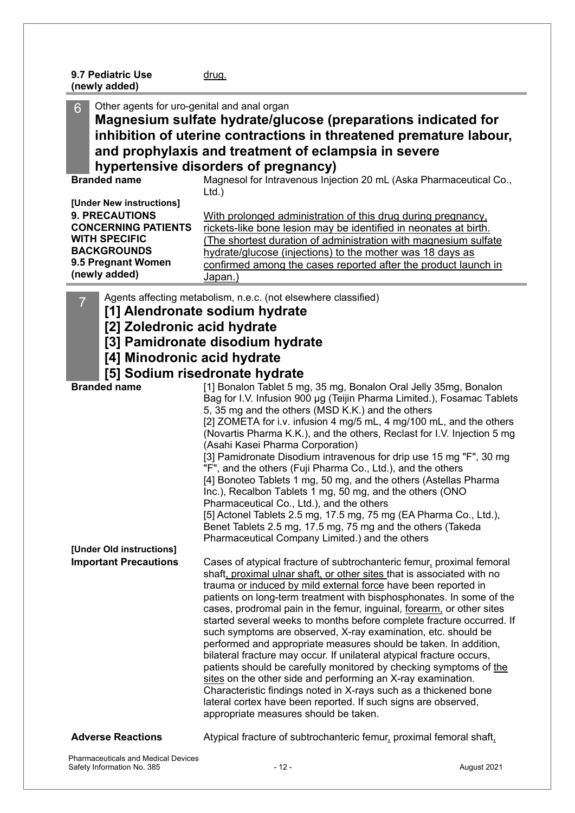| 9.7 Pediatric Use | <u>drug.</u> |
|-------------------|--------------|
| (newly added)     |              |

Other agents for uro-genital and anal organ **Magnesium sulfate hydrate/glucose (preparations indicated for inhibition of uterine contractions in threatened premature labour, and prophylaxis and treatment of eclampsia in severe hypertensive disorders of pregnancy) Branded name** Magnesol for Intravenous Injection 20 mL (Aska Pharmaceutical Co., Ltd.) **[Under New instructions] 9. PRECAUTIONS CONCERNING PATIENTS WITH SPECIFIC BACKGROUNDS 9.5 Pregnant Women (newly added)** With prolonged administration of this drug during pregnancy, rickets-like bone lesion may be identified in neonates at birth. (The shortest duration of administration with magnesium sulfate hydrate/glucose (injections) to the mother was 18 days as confirmed among the cases reported after the product launch in Japan.) Agents affecting metabolism, n.e.c. (not elsewhere classified) **[1] Alendronate sodium hydrate [2] Zoledronic acid hydrate [3] Pamidronate disodium hydrate [4] Minodronic acid hydrate [5] Sodium risedronate hydrate Branded name** [1] Bonalon Tablet 5 mg, 35 mg, Bonalon Oral Jelly 35mg, Bonalon Bag for I.V. Infusion 900 µg (Teijin Pharma Limited.), Fosamac Tablets 5, 35 mg and the others (MSD K.K.) and the others [2] ZOMETA for i.v. infusion 4 mg/5 mL, 4 mg/100 mL, and the others (Novartis Pharma K.K.), and the others, Reclast for I.V. Injection 5 mg (Asahi Kasei Pharma Corporation) [3] Pamidronate Disodium intravenous for drip use 15 mg "F", 30 mg "F", and the others (Fuji Pharma Co., Ltd.), and the others [4] Bonoteo Tablets 1 mg, 50 mg, and the others (Astellas Pharma Inc.), Recalbon Tablets 1 mg, 50 mg, and the others (ONO Pharmaceutical Co., Ltd.), and the others [5] Actonel Tablets 2.5 mg, 17.5 mg, 75 mg (EA Pharma Co., Ltd.), Benet Tablets 2.5 mg, 17.5 mg, 75 mg and the others (Takeda Pharmaceutical Company Limited.) and the others **[Under Old instructions] Important Precautions** Cases of atypical fracture of subtrochanteric femur, proximal femoral shaft, proximal ulnar shaft, or other sites that is associated with no trauma or induced by mild external force have been reported in patients on long-term treatment with bisphosphonates. In some of the cases, prodromal pain in the femur, inguinal, forearm, or other sites started several weeks to months before complete fracture occurred. If such symptoms are observed, X-ray examination, etc. should be performed and appropriate measures should be taken. In addition, bilateral fracture may occur. If unilateral atypical fracture occurs, patients should be carefully monitored by checking symptoms of the sites on the other side and performing an X-ray examination. Characteristic findings noted in X-rays such as a thickened bone lateral cortex have been reported. If such signs are observed, appropriate measures should be taken. **Adverse Reactions** Atypical fracture of subtrochanteric femur, proximal femoral shaft,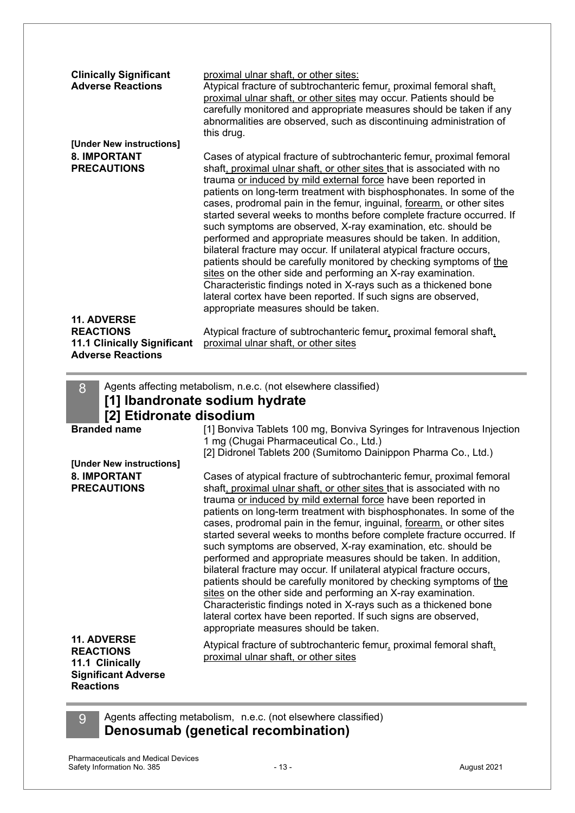| <b>Clinically Significant</b><br><b>Adverse Reactions</b>                          | proximal ulnar shaft, or other sites:<br>Atypical fracture of subtrochanteric femur, proximal femoral shaft,<br>proximal ulnar shaft, or other sites may occur. Patients should be<br>carefully monitored and appropriate measures should be taken if any<br>abnormalities are observed, such as discontinuing administration of<br>this drug.                                                                                                                                                                                                                                                                                                                                                                                                                                                                                                                                                                                                                                 |
|------------------------------------------------------------------------------------|--------------------------------------------------------------------------------------------------------------------------------------------------------------------------------------------------------------------------------------------------------------------------------------------------------------------------------------------------------------------------------------------------------------------------------------------------------------------------------------------------------------------------------------------------------------------------------------------------------------------------------------------------------------------------------------------------------------------------------------------------------------------------------------------------------------------------------------------------------------------------------------------------------------------------------------------------------------------------------|
| [Under New instructions]                                                           |                                                                                                                                                                                                                                                                                                                                                                                                                                                                                                                                                                                                                                                                                                                                                                                                                                                                                                                                                                                |
| <b>8. IMPORTANT</b><br><b>PRECAUTIONS</b>                                          | Cases of atypical fracture of subtrochanteric femur, proximal femoral<br>shaft, proximal ulnar shaft, or other sites that is associated with no<br>trauma or induced by mild external force have been reported in<br>patients on long-term treatment with bisphosphonates. In some of the<br>cases, prodromal pain in the femur, inguinal, forearm, or other sites<br>started several weeks to months before complete fracture occurred. If<br>such symptoms are observed, X-ray examination, etc. should be<br>performed and appropriate measures should be taken. In addition,<br>bilateral fracture may occur. If unilateral atypical fracture occurs,<br>patients should be carefully monitored by checking symptoms of the<br>sites on the other side and performing an X-ray examination.<br>Characteristic findings noted in X-rays such as a thickened bone<br>lateral cortex have been reported. If such signs are observed,<br>appropriate measures should be taken. |
| <b>11. ADVERSE</b>                                                                 |                                                                                                                                                                                                                                                                                                                                                                                                                                                                                                                                                                                                                                                                                                                                                                                                                                                                                                                                                                                |
| <b>REACTIONS</b><br><b>11.1 Clinically Significant</b><br><b>Adverse Reactions</b> | Atypical fracture of subtrochanteric femur, proximal femoral shaft,<br>proximal ulnar shaft, or other sites                                                                                                                                                                                                                                                                                                                                                                                                                                                                                                                                                                                                                                                                                                                                                                                                                                                                    |
| 8<br>[2] Etidronate disodium                                                       | Agents affecting metabolism, n.e.c. (not elsewhere classified)<br>[1] Ibandronate sodium hydrate                                                                                                                                                                                                                                                                                                                                                                                                                                                                                                                                                                                                                                                                                                                                                                                                                                                                               |
| <b>Branded name</b>                                                                | [1] Bonviva Tablets 100 mg, Bonviva Syringes for Intravenous Injection<br>1 mg (Chugai Pharmaceutical Co., Ltd.)<br>[2] Didronel Tablets 200 (Sumitomo Dainippon Pharma Co., Ltd.)                                                                                                                                                                                                                                                                                                                                                                                                                                                                                                                                                                                                                                                                                                                                                                                             |
| [Under New instructions]                                                           |                                                                                                                                                                                                                                                                                                                                                                                                                                                                                                                                                                                                                                                                                                                                                                                                                                                                                                                                                                                |
| <b>8. IMPORTANT</b><br><b>PRECAUTIONS</b><br>11. ADVERSE                           | Cases of atypical fracture of subtrochanteric femur, proximal femoral<br>shaft, proximal ulnar shaft, or other sites that is associated with no<br>trauma or induced by mild external force have been reported in<br>patients on long-term treatment with bisphosphonates. In some of the<br>cases, prodromal pain in the femur, inguinal, forearm, or other sites<br>started several weeks to months before complete fracture occurred. If<br>such symptoms are observed, X-ray examination, etc. should be<br>performed and appropriate measures should be taken. In addition,<br>bilateral fracture may occur. If unilateral atypical fracture occurs,<br>patients should be carefully monitored by checking symptoms of the<br>sites on the other side and performing an X-ray examination.<br>Characteristic findings noted in X-rays such as a thickened bone<br>lateral cortex have been reported. If such signs are observed,<br>appropriate measures should be taken. |
| <b>REACTIONS</b>                                                                   | Atypical fracture of subtrochanteric femur, proximal femoral shaft,<br>proximal ulnar shaft, or other sites                                                                                                                                                                                                                                                                                                                                                                                                                                                                                                                                                                                                                                                                                                                                                                                                                                                                    |

### **11.1 Clinically Significant Adverse Reactions**

9 Agents affecting metabolism, n.e.c. (not elsewhere classified) **Denosumab (genetical recombination)**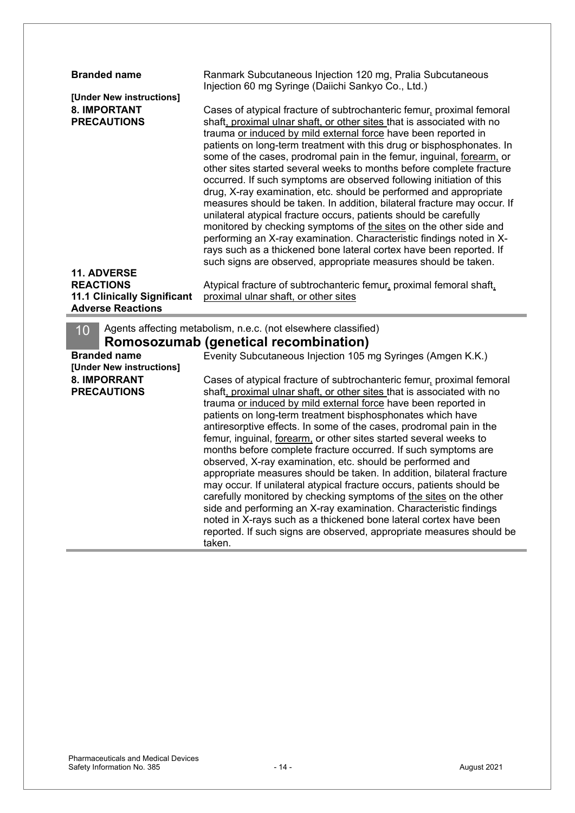| <b>Branded name</b>                                                   |                                                                                                                                                                                                                                                                                                                                                                                                                                                                                                                                                                                                                                                                                                                                                                                                                                                                                                                                                                                                                                |
|-----------------------------------------------------------------------|--------------------------------------------------------------------------------------------------------------------------------------------------------------------------------------------------------------------------------------------------------------------------------------------------------------------------------------------------------------------------------------------------------------------------------------------------------------------------------------------------------------------------------------------------------------------------------------------------------------------------------------------------------------------------------------------------------------------------------------------------------------------------------------------------------------------------------------------------------------------------------------------------------------------------------------------------------------------------------------------------------------------------------|
|                                                                       | Ranmark Subcutaneous Injection 120 mg, Pralia Subcutaneous                                                                                                                                                                                                                                                                                                                                                                                                                                                                                                                                                                                                                                                                                                                                                                                                                                                                                                                                                                     |
|                                                                       | Injection 60 mg Syringe (Daiichi Sankyo Co., Ltd.)                                                                                                                                                                                                                                                                                                                                                                                                                                                                                                                                                                                                                                                                                                                                                                                                                                                                                                                                                                             |
| [Under New instructions]<br><b>8. IMPORTANT</b><br><b>PRECAUTIONS</b> | Cases of atypical fracture of subtrochanteric femur, proximal femoral<br>shaft, proximal ulnar shaft, or other sites that is associated with no<br>trauma or induced by mild external force have been reported in<br>patients on long-term treatment with this drug or bisphosphonates. In<br>some of the cases, prodromal pain in the femur, inguinal, forearm, or<br>other sites started several weeks to months before complete fracture<br>occurred. If such symptoms are observed following initiation of this<br>drug, X-ray examination, etc. should be performed and appropriate<br>measures should be taken. In addition, bilateral fracture may occur. If<br>unilateral atypical fracture occurs, patients should be carefully<br>monitored by checking symptoms of the sites on the other side and<br>performing an X-ray examination. Characteristic findings noted in X-<br>rays such as a thickened bone lateral cortex have been reported. If<br>such signs are observed, appropriate measures should be taken. |
| 11. ADVERSE                                                           |                                                                                                                                                                                                                                                                                                                                                                                                                                                                                                                                                                                                                                                                                                                                                                                                                                                                                                                                                                                                                                |
| <b>REACTIONS</b>                                                      | Atypical fracture of subtrochanteric femur, proximal femoral shaft,                                                                                                                                                                                                                                                                                                                                                                                                                                                                                                                                                                                                                                                                                                                                                                                                                                                                                                                                                            |
| <b>11.1 Clinically Significant</b>                                    | proximal ulnar shaft, or other sites                                                                                                                                                                                                                                                                                                                                                                                                                                                                                                                                                                                                                                                                                                                                                                                                                                                                                                                                                                                           |
| <b>Adverse Reactions</b>                                              |                                                                                                                                                                                                                                                                                                                                                                                                                                                                                                                                                                                                                                                                                                                                                                                                                                                                                                                                                                                                                                |
| 10                                                                    | Agents affecting metabolism, n.e.c. (not elsewhere classified)                                                                                                                                                                                                                                                                                                                                                                                                                                                                                                                                                                                                                                                                                                                                                                                                                                                                                                                                                                 |
|                                                                       | Romosozumab (genetical recombination)                                                                                                                                                                                                                                                                                                                                                                                                                                                                                                                                                                                                                                                                                                                                                                                                                                                                                                                                                                                          |
| <b>Branded name</b>                                                   | Evenity Subcutaneous Injection 105 mg Syringes (Amgen K.K.)                                                                                                                                                                                                                                                                                                                                                                                                                                                                                                                                                                                                                                                                                                                                                                                                                                                                                                                                                                    |
| [Under New instructions]                                              |                                                                                                                                                                                                                                                                                                                                                                                                                                                                                                                                                                                                                                                                                                                                                                                                                                                                                                                                                                                                                                |
| <b>8. IMPORRANT</b>                                                   |                                                                                                                                                                                                                                                                                                                                                                                                                                                                                                                                                                                                                                                                                                                                                                                                                                                                                                                                                                                                                                |
| <b>PRECAUTIONS</b>                                                    | Cases of atypical fracture of subtrochanteric femur, proximal femoral<br>shaft, proximal ulnar shaft, or other sites that is associated with no                                                                                                                                                                                                                                                                                                                                                                                                                                                                                                                                                                                                                                                                                                                                                                                                                                                                                |
|                                                                       | trauma or induced by mild external force have been reported in                                                                                                                                                                                                                                                                                                                                                                                                                                                                                                                                                                                                                                                                                                                                                                                                                                                                                                                                                                 |
|                                                                       | patients on long-term treatment bisphosphonates which have                                                                                                                                                                                                                                                                                                                                                                                                                                                                                                                                                                                                                                                                                                                                                                                                                                                                                                                                                                     |
|                                                                       | antiresorptive effects. In some of the cases, prodromal pain in the                                                                                                                                                                                                                                                                                                                                                                                                                                                                                                                                                                                                                                                                                                                                                                                                                                                                                                                                                            |
|                                                                       | femur, inguinal, forearm, or other sites started several weeks to                                                                                                                                                                                                                                                                                                                                                                                                                                                                                                                                                                                                                                                                                                                                                                                                                                                                                                                                                              |
|                                                                       | months before complete fracture occurred. If such symptoms are                                                                                                                                                                                                                                                                                                                                                                                                                                                                                                                                                                                                                                                                                                                                                                                                                                                                                                                                                                 |
|                                                                       | observed, X-ray examination, etc. should be performed and                                                                                                                                                                                                                                                                                                                                                                                                                                                                                                                                                                                                                                                                                                                                                                                                                                                                                                                                                                      |
|                                                                       | appropriate measures should be taken. In addition, bilateral fracture                                                                                                                                                                                                                                                                                                                                                                                                                                                                                                                                                                                                                                                                                                                                                                                                                                                                                                                                                          |
|                                                                       | may occur. If unilateral atypical fracture occurs, patients should be                                                                                                                                                                                                                                                                                                                                                                                                                                                                                                                                                                                                                                                                                                                                                                                                                                                                                                                                                          |
|                                                                       | carefully monitored by checking symptoms of the sites on the other                                                                                                                                                                                                                                                                                                                                                                                                                                                                                                                                                                                                                                                                                                                                                                                                                                                                                                                                                             |
|                                                                       | side and performing an X-ray examination. Characteristic findings                                                                                                                                                                                                                                                                                                                                                                                                                                                                                                                                                                                                                                                                                                                                                                                                                                                                                                                                                              |
|                                                                       | noted in X-rays such as a thickened bone lateral cortex have been<br>reported. If such signs are observed, appropriate measures should be                                                                                                                                                                                                                                                                                                                                                                                                                                                                                                                                                                                                                                                                                                                                                                                                                                                                                      |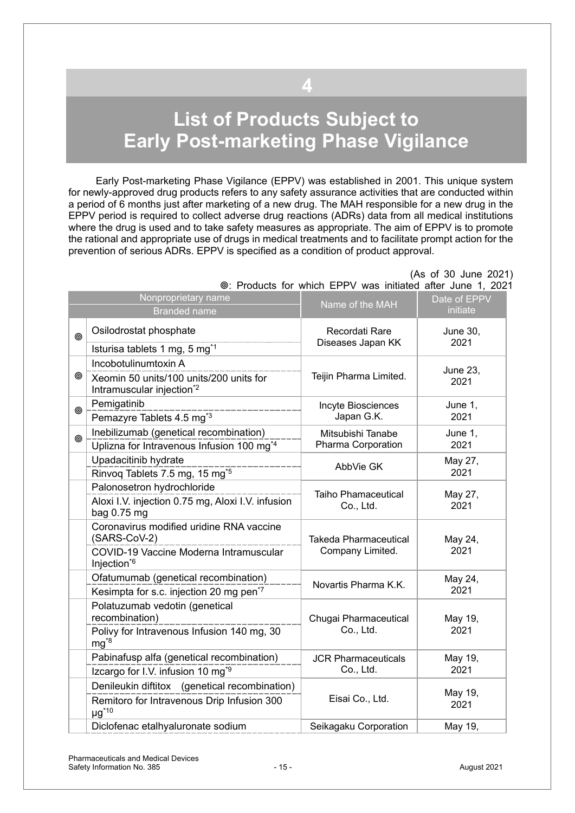# <span id="page-14-0"></span>**List of Products Subject to Early Post-marketing Phase Vigilance**

**4**

Early Post-marketing Phase Vigilance (EPPV) was established in 2001. This unique system for newly-approved drug products refers to any safety assurance activities that are conducted within a period of 6 months just after marketing of a new drug. The MAH responsible for a new drug in the EPPV period is required to collect adverse drug reactions (ADRs) data from all medical institutions where the drug is used and to take safety measures as appropriate. The aim of EPPV is to promote the rational and appropriate use of drugs in medical treatments and to facilitate prompt action for the prevention of serious ADRs. EPPV is specified as a condition of product approval.

|   | Nonproprietary name<br><b>Branded name</b>                                                                                    | Name of the MAH                                  | Date of EPPV<br>initiate |
|---|-------------------------------------------------------------------------------------------------------------------------------|--------------------------------------------------|--------------------------|
| ◉ | Osilodrostat phosphate<br>Isturisa tablets 1 mg, 5 mg <sup>*1</sup>                                                           | Recordati Rare<br>Diseases Japan KK              | <b>June 30,</b><br>2021  |
| ◉ | Incobotulinumtoxin A<br>Xeomin 50 units/100 units/200 units for<br>Intramuscular injection <sup>*2</sup>                      | Teijin Pharma Limited.                           | June 23,<br>2021         |
| ⊚ | Pemigatinib<br>Pemazyre Tablets 4.5 mg <sup>*3</sup>                                                                          | Incyte Biosciences<br>Japan G.K.                 | June 1,<br>2021          |
| ◎ | Inebilizumab (genetical recombination)<br>Uplizna for Intravenous Infusion 100 mg <sup>*4</sup>                               | Mitsubishi Tanabe<br>Pharma Corporation          | June 1,<br>2021          |
|   | Upadacitinib hydrate<br>Rinvoq Tablets 7.5 mg, 15 mg <sup>*5</sup>                                                            | AbbVie GK                                        | May 27,<br>2021          |
|   | Palonosetron hydrochloride<br>Aloxi I.V. injection 0.75 mg, Aloxi I.V. infusion<br>bag 0.75 mg                                | Taiho Phamaceutical<br>Co., Ltd.                 | May 27,<br>2021          |
|   | Coronavirus modified uridine RNA vaccine<br>(SARS-CoV-2)<br>COVID-19 Vaccine Moderna Intramuscular<br>Injection <sup>*6</sup> | <b>Takeda Pharmaceutical</b><br>Company Limited. | May 24,<br>2021          |
|   | Ofatumumab (genetical recombination)<br>Kesimpta for s.c. injection 20 mg pen <sup>*7</sup>                                   | Novartis Pharma K.K.                             | May 24,<br>2021          |
|   | Polatuzumab vedotin (genetical<br>recombination)<br>Polivy for Intravenous Infusion 140 mg, 30<br>$mg^{8}$                    | Chugai Pharmaceutical<br>Co., Ltd.               | May 19,<br>2021          |
|   | Pabinafusp alfa (genetical recombination)<br>Izcargo for I.V. infusion 10 mg <sup>*9</sup>                                    | <b>JCR Pharmaceuticals</b><br>Co., Ltd.          | May 19,<br>2021          |
|   | Denileukin diftitox (genetical recombination)<br>Remitoro for Intravenous Drip Infusion 300<br>$\mu g^{\star 10}$             | Eisai Co., Ltd.                                  | May 19,<br>2021          |
|   | Diclofenac etalhyaluronate sodium                                                                                             | Seikagaku Corporation                            | May 19,                  |

(As of 30 June 2021) : Products for which EPPV was initiated after June 1, 2021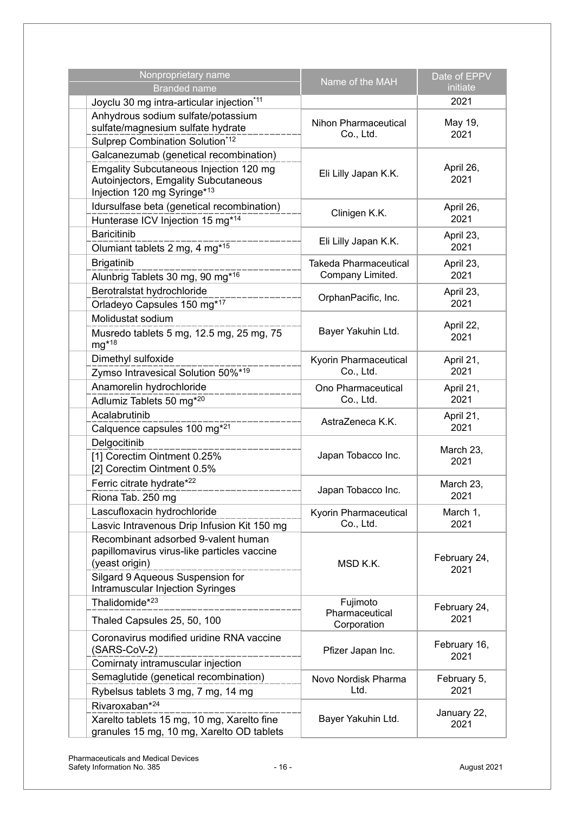| Nonproprietary name<br><b>Branded name</b>                                                                                                                                          | Name of the MAH                                  | Date of EPPV<br>initiate |
|-------------------------------------------------------------------------------------------------------------------------------------------------------------------------------------|--------------------------------------------------|--------------------------|
| Joyclu 30 mg intra-articular injection*11                                                                                                                                           |                                                  | 2021                     |
| Anhydrous sodium sulfate/potassium<br>sulfate/magnesium sulfate hydrate<br>Sulprep Combination Solution*12                                                                          | <b>Nihon Pharmaceutical</b><br>Co., Ltd.         | May 19,<br>2021          |
| Galcanezumab (genetical recombination)<br>Emgality Subcutaneous Injection 120 mg<br>Autoinjectors, Emgality Subcutaneous<br>Injection 120 mg Syringe*13                             | Eli Lilly Japan K.K.                             | April 26,<br>2021        |
| Idursulfase beta (genetical recombination)<br>Hunterase ICV Injection 15 mg*14                                                                                                      | Clinigen K.K.                                    | April 26,<br>2021        |
| <b>Baricitinib</b><br>Olumiant tablets 2 mg, 4 mg <sup>*15</sup>                                                                                                                    | Eli Lilly Japan K.K.                             | April 23,<br>2021        |
| <b>Brigatinib</b><br>Alunbrig Tablets 30 mg, 90 mg <sup>*16</sup>                                                                                                                   | <b>Takeda Pharmaceutical</b><br>Company Limited. | April 23,<br>2021        |
| Berotralstat hydrochloride<br>Orladeyo Capsules 150 mg*17                                                                                                                           | OrphanPacific, Inc.                              | April 23,<br>2021        |
| Molidustat sodium<br>Musredo tablets 5 mg, 12.5 mg, 25 mg, 75<br>$mg*18$                                                                                                            | Bayer Yakuhin Ltd.                               | April 22,<br>2021        |
| Dimethyl sulfoxide<br>Zymso Intravesical Solution 50%*19                                                                                                                            | Kyorin Pharmaceutical<br>Co., Ltd.               | April 21,<br>2021        |
| Anamorelin hydrochloride<br>Adlumiz Tablets 50 mg <sup>*20</sup>                                                                                                                    | Ono Pharmaceutical<br>Co., Ltd.                  | April 21,<br>2021        |
| Acalabrutinib<br>Calquence capsules 100 mg <sup>*21</sup>                                                                                                                           | AstraZeneca K.K.                                 | April 21,<br>2021        |
| Delgocitinib<br>[1] Corectim Ointment 0.25%<br>[2] Corectim Ointment 0.5%                                                                                                           | Japan Tobacco Inc.                               | March 23,<br>2021        |
| Ferric citrate hydrate*22<br>Riona Tab. 250 mg                                                                                                                                      | Japan Tobacco Inc.                               | March 23,<br>2021        |
| Lascufloxacin hydrochloride<br>Lasvic Intravenous Drip Infusion Kit 150 mg                                                                                                          | Kyorin Pharmaceutical<br>Co., Ltd.               | March 1,<br>2021         |
| Recombinant adsorbed 9-valent human<br>papillomavirus virus-like particles vaccine<br>(yeast origin)<br>Silgard 9 Aqueous Suspension for<br><b>Intramuscular Injection Syringes</b> | MSD K.K.                                         | February 24,<br>2021     |
| Thalidomide <sup>*23</sup><br>Thaled Capsules 25, 50, 100                                                                                                                           | Fujimoto<br>Pharmaceutical                       | February 24,<br>2021     |
| Coronavirus modified uridine RNA vaccine<br>(SARS-CoV-2)<br>Comirnaty intramuscular injection                                                                                       | Corporation<br>Pfizer Japan Inc.                 | February 16,<br>2021     |
| Semaglutide (genetical recombination)<br>Rybelsus tablets 3 mg, 7 mg, 14 mg                                                                                                         | Novo Nordisk Pharma<br>Ltd.                      | February 5,<br>2021      |
| Rivaroxaban* <sup>24</sup><br>Xarelto tablets 15 mg, 10 mg, Xarelto fine<br>granules 15 mg, 10 mg, Xarelto OD tablets                                                               | Bayer Yakuhin Ltd.                               | January 22,<br>2021      |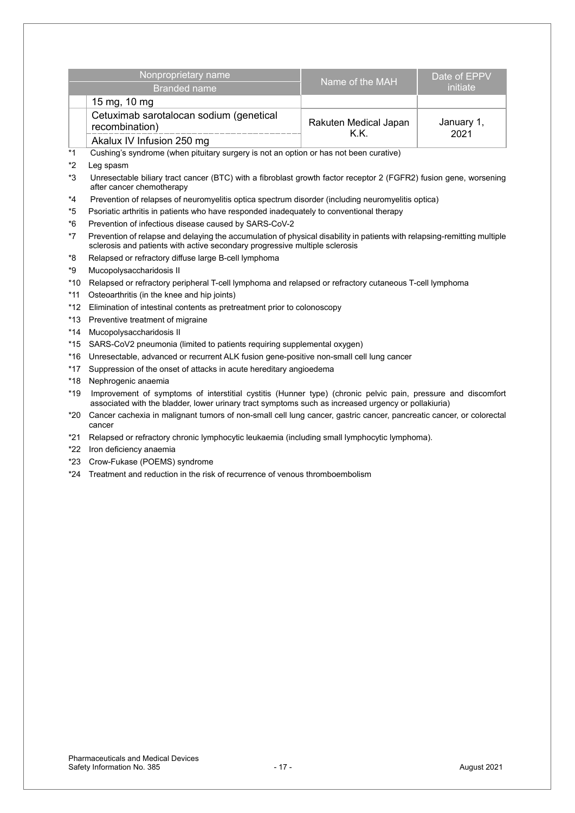|         | Nonproprietary name                                                                                                                                                                                                 | Name of the MAH               | Date of EPPV       |
|---------|---------------------------------------------------------------------------------------------------------------------------------------------------------------------------------------------------------------------|-------------------------------|--------------------|
|         | <b>Branded name</b>                                                                                                                                                                                                 |                               | initiate           |
|         | 15 mg, 10 mg                                                                                                                                                                                                        |                               |                    |
|         | Cetuximab sarotalocan sodium (genetical<br>recombination)                                                                                                                                                           | Rakuten Medical Japan<br>K.K. | January 1,<br>2021 |
|         | Akalux IV Infusion 250 mg                                                                                                                                                                                           |                               |                    |
| $*_{1}$ | Cushing's syndrome (when pituitary surgery is not an option or has not been curative)                                                                                                                               |                               |                    |
| *2      | Leg spasm                                                                                                                                                                                                           |                               |                    |
| $*3$    | Unresectable biliary tract cancer (BTC) with a fibroblast growth factor receptor 2 (FGFR2) fusion gene, worsening<br>after cancer chemotherapy                                                                      |                               |                    |
| $*_{4}$ | Prevention of relapses of neuromyelitis optica spectrum disorder (including neuromyelitis optica)                                                                                                                   |                               |                    |
| $*5$    | Psoriatic arthritis in patients who have responded inadequately to conventional therapy                                                                                                                             |                               |                    |
| $*6$    | Prevention of infectious disease caused by SARS-CoV-2                                                                                                                                                               |                               |                    |
| $*7$    | Prevention of relapse and delaying the accumulation of physical disability in patients with relapsing-remitting multiple<br>sclerosis and patients with active secondary progressive multiple sclerosis             |                               |                    |
| *8      | Relapsed or refractory diffuse large B-cell lymphoma                                                                                                                                                                |                               |                    |
| *9      | Mucopolysaccharidosis II                                                                                                                                                                                            |                               |                    |
| *10     | Relapsed or refractory peripheral T-cell lymphoma and relapsed or refractory cutaneous T-cell lymphoma                                                                                                              |                               |                    |
| $*11$   | Osteoarthritis (in the knee and hip joints)                                                                                                                                                                         |                               |                    |
| *12     | Elimination of intestinal contents as pretreatment prior to colonoscopy                                                                                                                                             |                               |                    |
| $*13$   | Preventive treatment of migraine                                                                                                                                                                                    |                               |                    |
| $*14$   | Mucopolysaccharidosis II                                                                                                                                                                                            |                               |                    |
| $*15$   | SARS-CoV2 pneumonia (limited to patients requiring supplemental oxygen)                                                                                                                                             |                               |                    |
| $*16$   | Unresectable, advanced or recurrent ALK fusion gene-positive non-small cell lung cancer                                                                                                                             |                               |                    |
| $*17$   | Suppression of the onset of attacks in acute hereditary angioedema                                                                                                                                                  |                               |                    |
| *18     | Nephrogenic anaemia                                                                                                                                                                                                 |                               |                    |
| $*19$   | Improvement of symptoms of interstitial cystitis (Hunner type) (chronic pelvic pain, pressure and discomfort<br>associated with the bladder, lower urinary tract symptoms such as increased urgency or pollakiuria) |                               |                    |
| *20     | Cancer cachexia in malignant tumors of non-small cell lung cancer, gastric cancer, pancreatic cancer, or colorectal<br>cancer                                                                                       |                               |                    |

- \*21 Relapsed or refractory chronic lymphocytic leukaemia (including small lymphocytic lymphoma).
- \*22 Iron deficiency anaemia
- \*23 Crow-Fukase (POEMS) syndrome
- \*24 Treatment and reduction in the risk of recurrence of venous thromboembolism